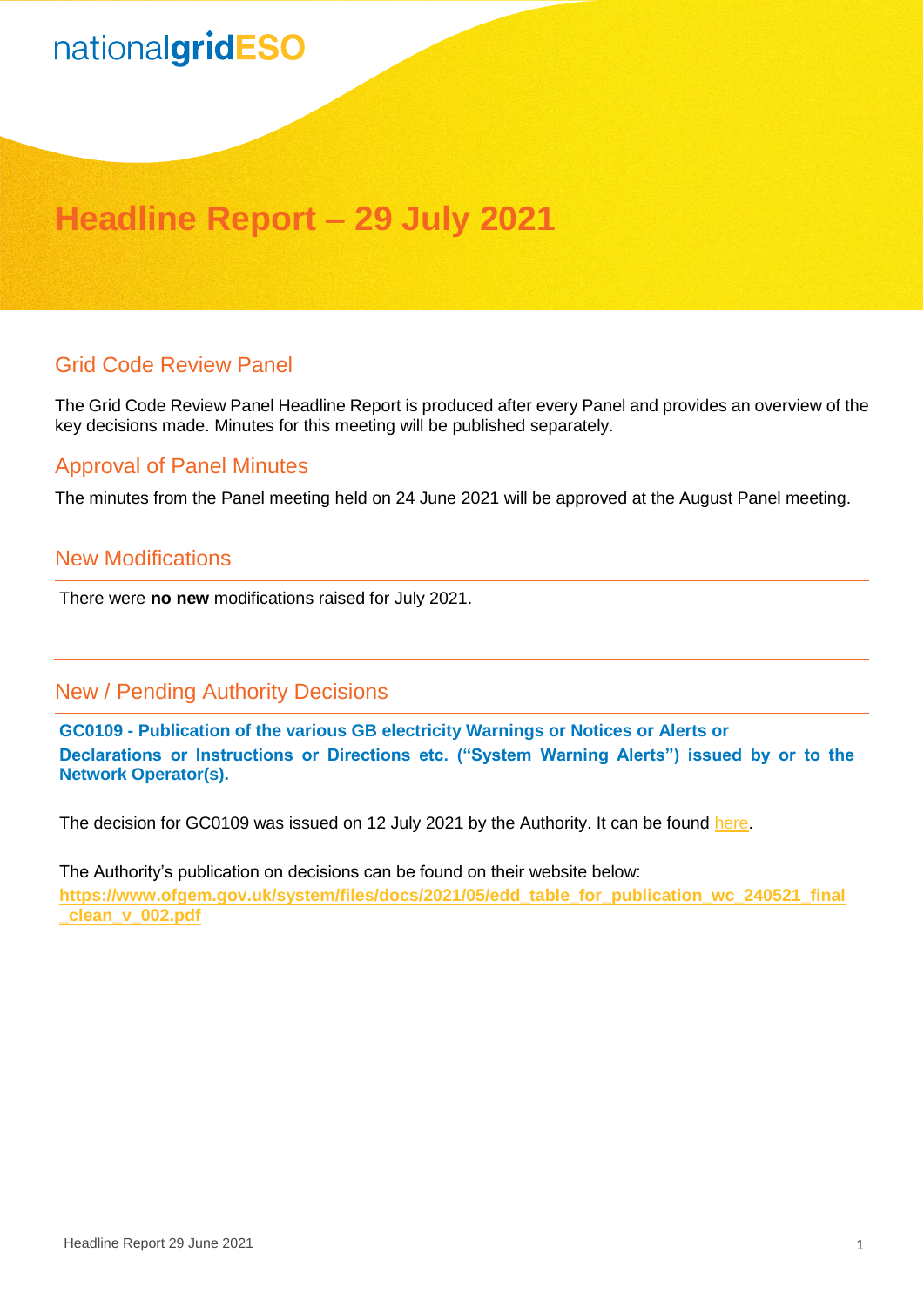# nationalgridESO

## **Headline Report – 29 July 2021**

#### Grid Code Review Panel

The Grid Code Review Panel Headline Report is produced after every Panel and provides an overview of the key decisions made. Minutes for this meeting will be published separately.

#### Approval of Panel Minutes

The minutes from the Panel meeting held on 24 June 2021 will be approved at the August Panel meeting.

#### New Modifications

There were **no new** modifications raised for July 2021.

### New / Pending Authority Decisions

**GC0109 - Publication of the various GB electricity Warnings or Notices or Alerts or Declarations or Instructions or Directions etc. ("System Warning Alerts") issued by or to the Network Operator(s).**

The decision for GC0109 was issued on 12 July 2021 by the Authority. It can be found [here.](https://www.nationalgrideso.com/document/201181/download)

The Authority's publication on decisions can be found on their website below: **[https://www.ofgem.gov.uk/system/files/docs/2021/05/edd\\_table\\_for\\_publication\\_wc\\_240521\\_final](https://www.ofgem.gov.uk/system/files/docs/2021/05/edd_table_for_publication_wc_240521_final_clean_v_002.pdf) [\\_clean\\_v\\_002.pdf](https://www.ofgem.gov.uk/system/files/docs/2021/05/edd_table_for_publication_wc_240521_final_clean_v_002.pdf)**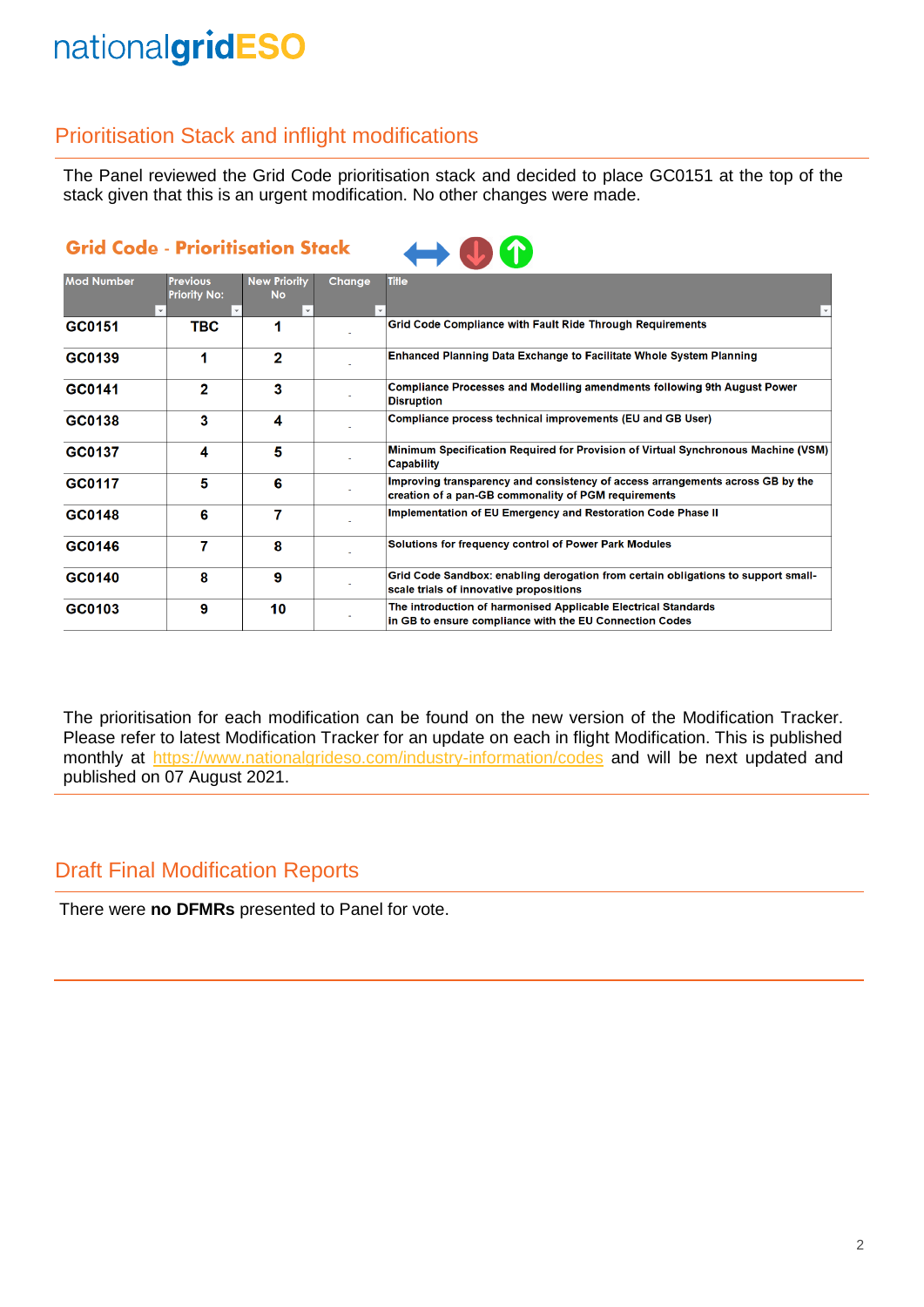## nationalgridESO

### Prioritisation Stack and inflight modifications

The Panel reviewed the Grid Code prioritisation stack and decided to place GC0151 at the top of the stack given that this is an urgent modification. No other changes were made.

| <b>Grid Code - Prioritisation Stack</b> | $\leftrightarrow 0$ |
|-----------------------------------------|---------------------|
|-----------------------------------------|---------------------|

| <b>Mod Number</b> | <b>Previous</b>     | <b>New Priority</b> | Change | <b>Title</b>                                                                                                                           |
|-------------------|---------------------|---------------------|--------|----------------------------------------------------------------------------------------------------------------------------------------|
|                   | <b>Priority No:</b> | <b>No</b>           |        |                                                                                                                                        |
| GC0151            | TBC                 |                     |        | Grid Code Compliance with Fault Ride Through Requirements                                                                              |
| GC0139            |                     | 2                   |        | Enhanced Planning Data Exchange to Facilitate Whole System Planning                                                                    |
| GC0141            | 2                   | 3                   |        | Compliance Processes and Modelling amendments following 9th August Power<br><b>Disruption</b>                                          |
| GC0138            | 3                   | 4                   |        | Compliance process technical improvements (EU and GB User)                                                                             |
| GC0137            | 4                   | 5                   |        | Minimum Specification Required for Provision of Virtual Synchronous Machine (VSM)<br><b>Capability</b>                                 |
| GC0117            | 5                   | 6                   |        | Improving transparency and consistency of access arrangements across GB by the<br>creation of a pan-GB commonality of PGM requirements |
| GC0148            | 6                   |                     |        | Implementation of EU Emergency and Restoration Code Phase II                                                                           |
| GC0146            |                     | 8                   |        | Solutions for frequency control of Power Park Modules                                                                                  |
| GC0140            | 8                   | 9                   |        | Grid Code Sandbox: enabling derogation from certain obligations to support small-<br>scale trials of innovative propositions           |
| GC0103            | 9                   | 10                  |        | The introduction of harmonised Applicable Electrical Standards<br>in GB to ensure compliance with the EU Connection Codes              |

The prioritisation for each modification can be found on the new version of the Modification Tracker. Please refer to latest Modification Tracker for an update on each in flight Modification. This is published monthly at <https://www.nationalgrideso.com/industry-information/codes> and will be next updated and published on 07 August 2021.

### Draft Final Modification Reports

There were **no DFMRs** presented to Panel for vote.